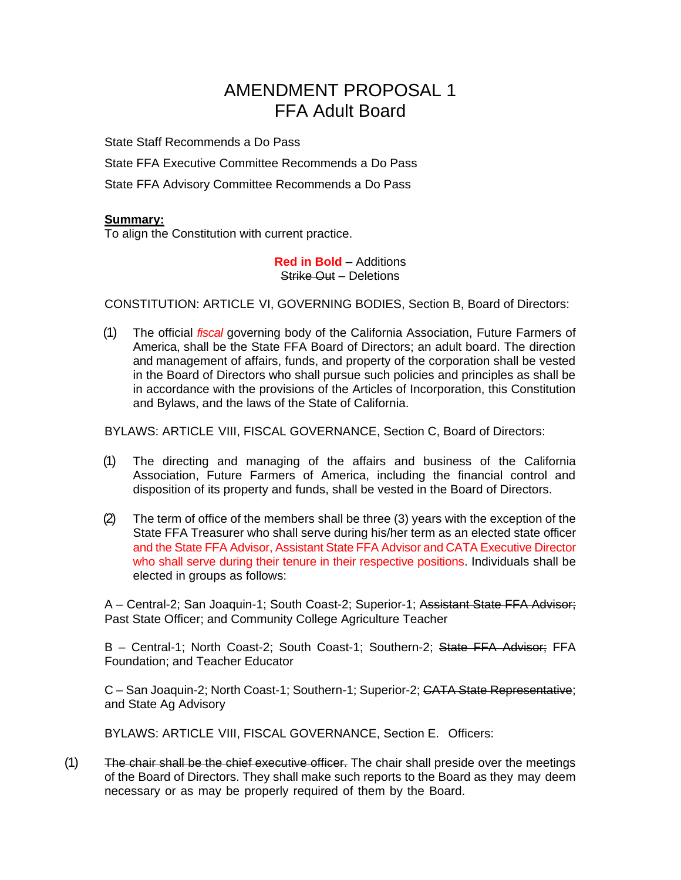# AMENDMENT PROPOSAL 1 FFA Adult Board

State Staff Recommends a Do Pass

State FFA Executive Committee Recommends a Do Pass

State FFA Advisory Committee Recommends a Do Pass

#### **Summary:**

To align the Constitution with current practice.

**Red in Bold** – Additions Strike Out – Deletions

CONSTITUTION: ARTICLE VI, GOVERNING BODIES, Section B, Board of Directors:

(1) The official *fiscal* governing body of the California Association, Future Farmers of America, shall be the State FFA Board of Directors; an adult board. The direction and management of affairs, funds, and property of the corporation shall be vested in the Board of Directors who shall pursue such policies and principles as shall be in accordance with the provisions of the Articles of Incorporation, this Constitution and Bylaws, and the laws of the State of California.

BYLAWS: ARTICLE VIII, FISCAL GOVERNANCE, Section C, Board of Directors:

- (1) The directing and managing of the affairs and business of the California Association, Future Farmers of America, including the financial control and disposition of its property and funds, shall be vested in the Board of Directors.
- (2) The term of office of the members shall be three (3) years with the exception of the State FFA Treasurer who shall serve during his/her term as an elected state officer and the State FFA Advisor, Assistant State FFA Advisor and CATA Executive Director who shall serve during their tenure in their respective positions. Individuals shall be elected in groups as follows:

A - Central-2; San Joaquin-1; South Coast-2; Superior-1; Assistant State FFA Advisor; Past State Officer; and Community College Agriculture Teacher

B - Central-1; North Coast-2; South Coast-1; Southern-2; State FFA Advisor; FFA Foundation; and Teacher Educator

C – San Joaquin-2; North Coast-1; Southern-1; Superior-2; CATA State Representative; and State Ag Advisory

BYLAWS: ARTICLE VIII, FISCAL GOVERNANCE, Section E. Officers:

(1) The chair shall be the chief executive officer. The chair shall preside over the meetings of the Board of Directors. They shall make such reports to the Board as they may deem necessary or as may be properly required of them by the Board.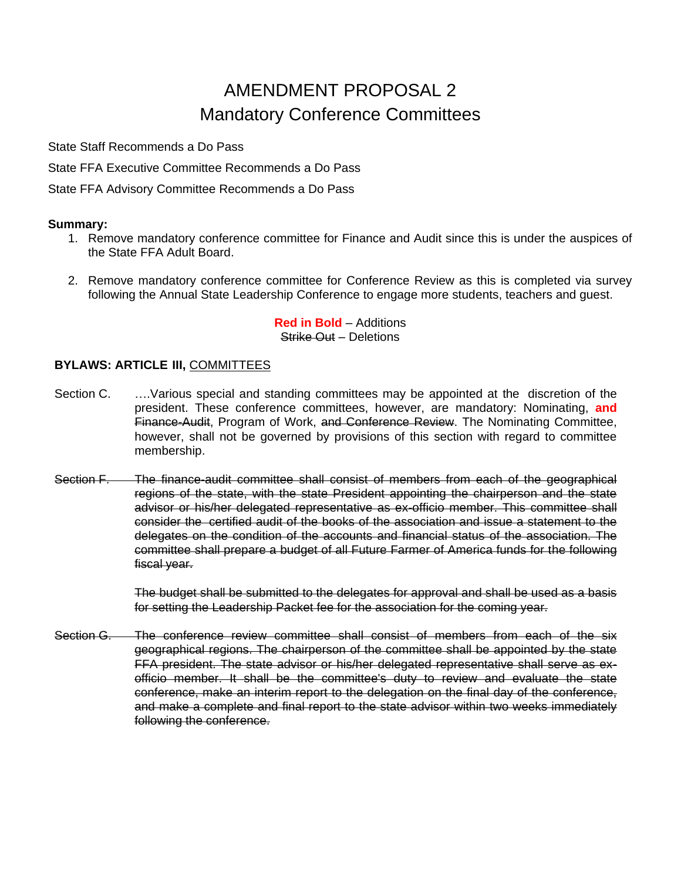# AMENDMENT PROPOSAL 2 Mandatory Conference Committees

State Staff Recommends a Do Pass

State FFA Executive Committee Recommends a Do Pass

State FFA Advisory Committee Recommends a Do Pass

## **Summary:**

- 1. Remove mandatory conference committee for Finance and Audit since this is under the auspices of the State FFA Adult Board.
- 2. Remove mandatory conference committee for Conference Review as this is completed via survey following the Annual State Leadership Conference to engage more students, teachers and guest.

**Red in Bold** – Additions Strike Out – Deletions

## **BYLAWS: ARTICLE III,** COMMITTEES

- Section C. ….Various special and standing committees may be appointed at the discretion of the president. These conference committees, however, are mandatory: Nominating, **and** Finance-Audit, Program of Work, and Conference Review. The Nominating Committee, however, shall not be governed by provisions of this section with regard to committee membership.
- Section F. The finance-audit committee shall consist of members from each of the geographical regions of the state, with the state President appointing the chairperson and the state advisor or his/her delegated representative as ex-officio member. This committee shall consider the certified audit of the books of the association and issue a statement to the delegates on the condition of the accounts and financial status of the association. The committee shall prepare a budget of all Future Farmer of America funds for the following fiscal year.

The budget shall be submitted to the delegates for approval and shall be used as a basis for setting the Leadership Packet fee for the association for the coming year.

Section G. The conference review committee shall consist of members from each of the six geographical regions. The chairperson of the committee shall be appointed by the state FFA president. The state advisor or his/her delegated representative shall serve as exofficio member. It shall be the committee's duty to review and evaluate the state conference, make an interim report to the delegation on the final day of the conference, and make a complete and final report to the state advisor within two weeks immediately following the conference.